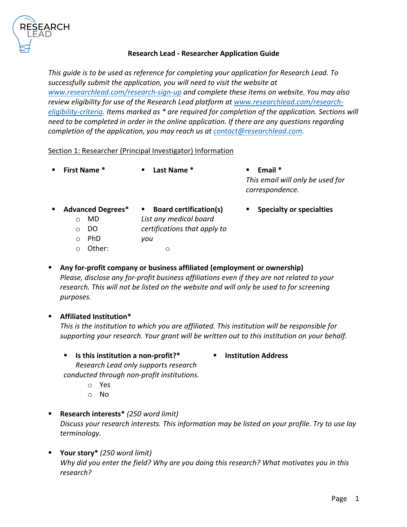

### **Research Lead - Researcher Application Guide**

*This guide is to be used as reference for completing your application for Research Lead. To successfully submit the application, you will need to visit the website at www.researchlead.com/research-sign-up and complete these items on website. You may also review eligibility for use of the Research Lead platform at www.researchlead.com/researcheligibility-criteria. Items marked as \* are required for completion of the application. Sections will need to be completed in order in the online application. If there are any questions regarding completion of the application, you may reach us at contact@researchlead.com.* 

Section 1: Researcher (Principal Investigator) Information

|              | <b>First Name <math>*</math></b> |                | $\blacksquare$ Last Name $*$  | $\mathbf{E}$ . | Email *<br>This email will only be used for<br>correspondence. |
|--------------|----------------------------------|----------------|-------------------------------|----------------|----------------------------------------------------------------|
| $\mathbf{r}$ | <b>Advanced Degrees*</b>         | $\blacksquare$ | <b>Board certification(s)</b> | $\blacksquare$ | <b>Specialty or specialties</b>                                |

- - o MD
- 
- 
- *List any medical board*
- o DO *certifications that apply to*
- o PhD *you*
- o Other:
- o
- § **Any for-profit company or business affiliated (employment or ownership)** *Please, disclose any for-profit business affiliations even if they are not related to your research. This will not be listed on the website and will only be used to for screening purposes.*

## § **Affiliated Institution\***

*This is the institution to which you are affiliated. This institution will be responsible for supporting your research. Your grant will be written out to this institution on your behalf.*

§ **Institution Address**

- § **Is this institution a non-profit?\*** *Research Lead only supports research conducted through non-profit institutions*.
	- o Yes
	- o No
- § **Research interests\*** *(250 word limit) Discuss your research interests. This information may be listed on your profile. Try to use lay terminology.*
- § **Your story\*** *(250 word limit) Why did you enter the field? Why are you doing this research? What motivates you in this research?*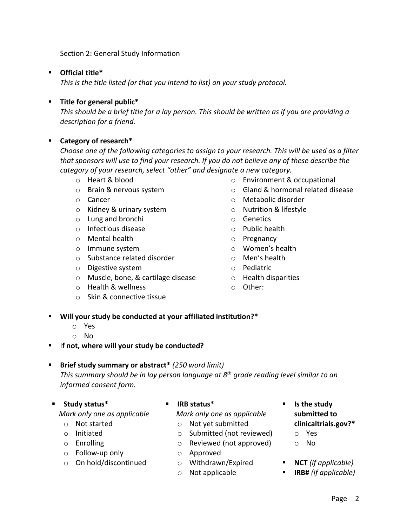## Section 2: General Study Information

## § **Official title\***

*This is the title listed (or that you intend to list) on your study protocol.* 

### § **Title for general public\***

*This should be a brief title for a lay person. This should be written as if you are providing a description for a friend.*

## § **Category of research\***

*Choose one of the following categories to assign to your research. This will be used as a filter that sponsors will use to find your research. If you do not believe any of these describe the category of your research, select "other" and designate a new category.* 

- 
- 
- 
- o Kidney & urinary system o Nutrition & lifestyle
- o Lung and bronchi o Genetics
- o Infectious disease o Public health
- o Mental health o Pregnancy
- 
- o Substance related disorder o Men's health
- o Digestive system o Pediatric
- o Muscle, bone, & cartilage disease o Health disparities
- o Health & wellness o Other:
- o Skin & connective tissue
- o Heart & blood o Environment & occupational
- o Brain & nervous system o Gland & hormonal related disease
- o Cancer o Metabolic disorder
	-
	-
	-
	-
- o Immune system o Women's health
	-
	-
	-
	-
- § **Will your study be conducted at your affiliated institution?\***
	- o Yes
	- o No
- § I**f not, where will your study be conducted?**

#### § **Brief study summary or abstract\*** *(250 word limit)*

*This summary should be in lay person language at 8th grade reading level similar to an informed consent form.*

§ **Study status\***

 *Mark only one as applicable*

- o Not started
- o Initiated
- o Enrolling
- o Follow-up only
- o On hold/discontinued
- § **IRB status\***
	- *Mark only one as applicable*
		- o Not yet submitted
		- o Submitted (not reviewed)
		- o Reviewed (not approved)
		- o Approved
		- o Withdrawn/Expired
		- o Not applicable
- § **Is the study submitted to clinicaltrials.gov?\***
	- o Yes
	- o No
- **NCT** (if applicable)
- § **IRB#** *(if applicable)*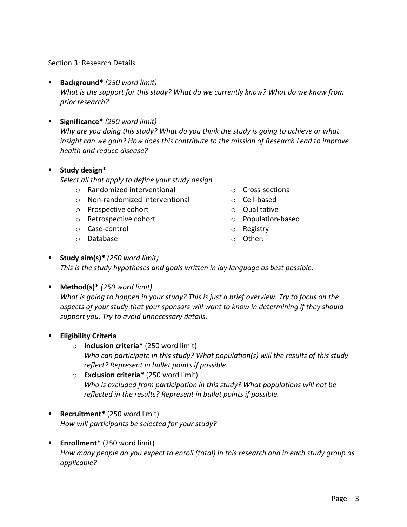#### Section 3: Research Details

- § **Background\*** *(250 word limit) What is the support for this study? What do we currently know? What do we know from prior research?*
- § **Significance\*** *(250 word limit) Why are you doing this study? What do you think the study is going to achieve or what insight can we gain? How does this contribute to the mission of Research Lead to improve health and reduce disease?*
- § **Study design\***

*Select all that apply to define your study design*

- o Randomized interventional o Cross-sectional
- o Non-randomized interventional o Cell-based
- o Prospective cohort o Qualitative
- o Retrospective cohort o Population-based
- o Case-control o Registry
- o Database o Other:
- 
- 
- 
- 
- 
- 
- § **Study aim(s)\*** *(250 word limit) This is the study hypotheses and goals written in lay language as best possible.*
- § **Method(s)\*** *(250 word limit)*

*What is going to happen in your study? This is just a brief overview. Try to focus on the aspects of your study that your sponsors will want to know in determining if they should support you. Try to avoid unnecessary details.*

- § **Eligibility Criteria**
	- o **Inclusion criteria\*** (250 word limit) *Who can participate in this study? What population(s) will the results of this study reflect? Represent in bullet points if possible.*
	- o **Exclusion criteria\*** (250 word limit) *Who is excluded from participation in this study? What populations will not be reflected in the results? Represent in bullet points if possible.*
- § **Recruitment\*** (250 word limit) *How will participants be selected for your study?*
- § **Enrollment\*** (250 word limit) *How many people do you expect to enroll (total) in this research and in each study group as applicable?*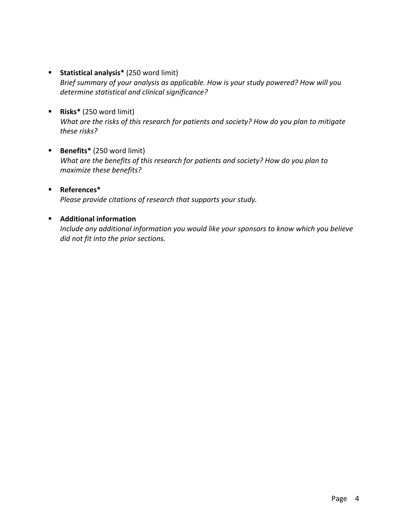- § **Statistical analysis\*** (250 word limit) *Brief summary of your analysis as applicable. How is your study powered? How will you determine statistical and clinical significance?*
- § **Risks\*** (250 word limit) *What are the risks of this research for patients and society? How do you plan to mitigate these risks?*
- § **Benefits\*** (250 word limit) *What are the benefits of this research for patients and society? How do you plan to maximize these benefits?*
- § **References\*** *Please provide citations of research that supports your study.*

# § **Additional information**

*Include any additional information you would like your sponsors to know which you believe did not fit into the prior sections.*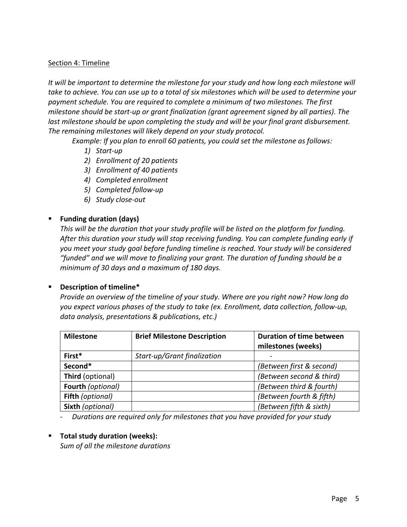#### Section 4: Timeline

*It will be important to determine the milestone for your study and how long each milestone will take to achieve. You can use up to a total of six milestones which will be used to determine your payment schedule. You are required to complete a minimum of two milestones. The first milestone should be start-up or grant finalization (grant agreement signed by all parties). The last milestone should be upon completing the study and will be your final grant disbursement. The remaining milestones will likely depend on your study protocol.*

*Example: If you plan to enroll 60 patients, you could set the milestone as follows:*

- *1) Start-up*
- *2) Enrollment of 20 patients*
- *3) Enrollment of 40 patients*
- *4) Completed enrollment*
- *5) Completed follow-up*
- *6) Study close-out*

# § **Funding duration (days)**

*This will be the duration that your study profile will be listed on the platform for funding. After this duration your study will stop receiving funding. You can complete funding early if you meet your study goal before funding timeline is reached. Your study will be considered "funded" and we will move to finalizing your grant. The duration of funding should be a minimum of 30 days and a maximum of 180 days.* 

## § **Description of timeline\***

*Provide an overview of the timeline of your study. Where are you right now? How long do you expect various phases of the study to take (ex. Enrollment, data collection, follow-up, data analysis, presentations & publications, etc.)*

| <b>Milestone</b>         | <b>Brief Milestone Description</b> | <b>Duration of time between</b><br>milestones (weeks) |
|--------------------------|------------------------------------|-------------------------------------------------------|
| First*                   | Start-up/Grant finalization        |                                                       |
| Second*                  |                                    | (Between first & second)                              |
| Third (optional)         |                                    | (Between second & third)                              |
| <b>Fourth (optional)</b> |                                    | (Between third & fourth)                              |
| Fifth (optional)         |                                    | (Between fourth & fifth)                              |
| Sixth (optional)         |                                    | (Between fifth & sixth)                               |

- *Durations are required only for milestones that you have provided for your study*

## ■ **Total study duration (weeks):**

*Sum of all the milestone durations*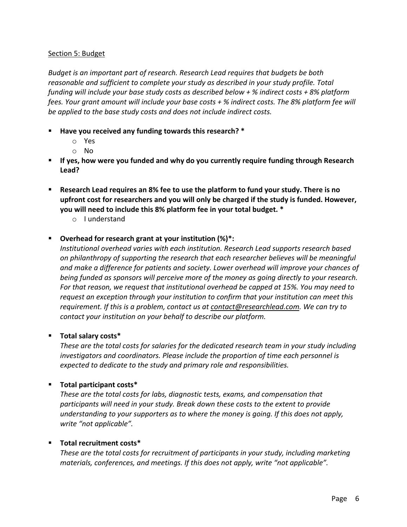### Section 5: Budget

*Budget is an important part of research. Research Lead requires that budgets be both reasonable and sufficient to complete your study as described in your study profile. Total funding will include your base study costs as described below + % indirect costs + 8% platform fees. Your grant amount will include your base costs + % indirect costs. The 8% platform fee will be applied to the base study costs and does not include indirect costs.*

- § **Have you received any funding towards this research? \***
	- o Yes
	- o No
- § **If yes, how were you funded and why do you currently require funding through Research Lead?**
- § **Research Lead requires an 8% fee to use the platform to fund your study. There is no upfront cost for researchers and you will only be charged if the study is funded. However, you will need to include this 8% platform fee in your total budget. \***
	- o I understand

#### § **Overhead for research grant at your institution (%)\*:**

*Institutional overhead varies with each institution. Research Lead supports research based on philanthropy of supporting the research that each researcher believes will be meaningful and make a difference for patients and society. Lower overhead will improve your chances of being funded as sponsors will perceive more of the money as going directly to your research. For that reason, we request that institutional overhead be capped at 15%. You may need to request an exception through your institution to confirm that your institution can meet this requirement. If this is a problem, contact us at contact@researchlead.com. We can try to contact your institution on your behalf to describe our platform.* 

#### § **Total salary costs\***

*These are the total costs for salaries for the dedicated research team in your study including investigators and coordinators. Please include the proportion of time each personnel is expected to dedicate to the study and primary role and responsibilities.*

## § **Total participant costs\***

*These are the total costs for labs, diagnostic tests, exams, and compensation that participants will need in your study. Break down these costs to the extent to provide understanding to your supporters as to where the money is going. If this does not apply, write "not applicable".*

## § **Total recruitment costs\***

*These are the total costs for recruitment of participants in your study, including marketing materials, conferences, and meetings. If this does not apply, write "not applicable".*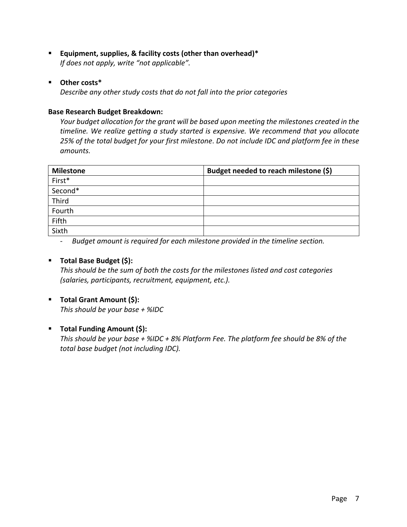- § **Equipment, supplies, & facility costs (other than overhead)\*** *If does not apply, write "not applicable".*
- § **Other costs\***

*Describe any other study costs that do not fall into the prior categories*

#### **Base Research Budget Breakdown:**

*Your budget allocation for the grant will be based upon meeting the milestones created in the timeline. We realize getting a study started is expensive. We recommend that you allocate 25% of the total budget for your first milestone*. *Do not include IDC and platform fee in these amounts.* 

| <b>Milestone</b> | Budget needed to reach milestone (\$) |
|------------------|---------------------------------------|
| First*           |                                       |
| Second*          |                                       |
| Third            |                                       |
| Fourth           |                                       |
| Fifth            |                                       |
| Sixth            |                                       |

- *Budget amount is required for each milestone provided in the timeline section.* 

## § **Total Base Budget (\$):**

*This should be the sum of both the costs for the milestones listed and cost categories (salaries, participants, recruitment, equipment, etc.).* 

§ **Total Grant Amount (\$):**

*This should be your base + %IDC*

## § **Total Funding Amount (\$):**

*This should be your base + %IDC + 8% Platform Fee. The platform fee should be 8% of the total base budget (not including IDC).*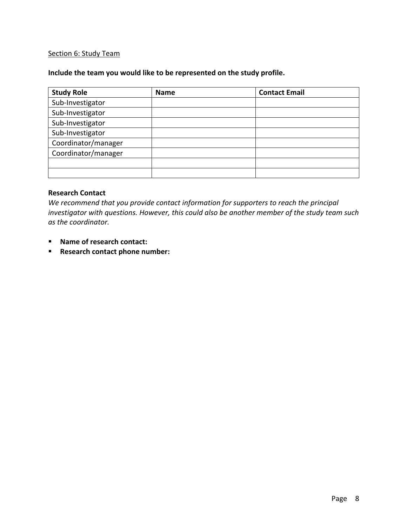#### Section 6: Study Team

## **Include the team you would like to be represented on the study profile.**

| <b>Study Role</b>   | <b>Name</b> | <b>Contact Email</b> |
|---------------------|-------------|----------------------|
| Sub-Investigator    |             |                      |
| Sub-Investigator    |             |                      |
| Sub-Investigator    |             |                      |
| Sub-Investigator    |             |                      |
| Coordinator/manager |             |                      |
| Coordinator/manager |             |                      |
|                     |             |                      |
|                     |             |                      |

#### **Research Contact**

*We recommend that you provide contact information for supporters to reach the principal investigator with questions. However, this could also be another member of the study team such as the coordinator.*

- Name of research contact:
- Research contact phone number: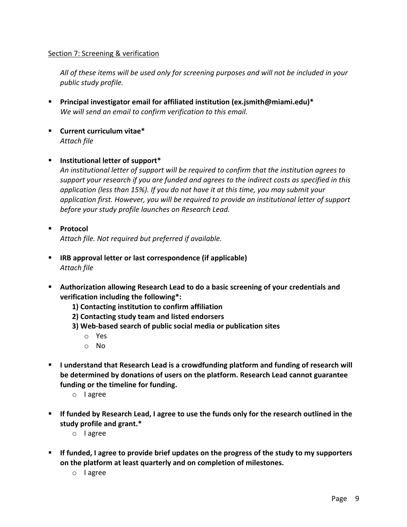### Section 7: Screening & verification

*All of these items will be used only for screening purposes and will not be included in your public study profile.* 

- § **Principal investigator email for affiliated institution (ex.jsmith@miami.edu)\*** *We will send an email to confirm verification to this email.*
- § **Current curriculum vitae\*** *Attach file*

#### § **Institutional letter of support\***

*An institutional letter of support will be required to confirm that the institution agrees to support your research if you are funded and agrees to the indirect costs as specified in this application (less than 15%). If you do not have it at this time, you may submit your application first. However, you will be required to provide an institutional letter of support before your study profile launches on Research Lead.*

- § **Protocol** *Attach file. Not required but preferred if available.*
- § **IRB approval letter or last correspondence (if applicable)** *Attach file*
- § **Authorization allowing Research Lead to do a basic screening of your credentials and verification including the following\*:** 
	- **1) Contacting institution to confirm affiliation**
	- **2) Contacting study team and listed endorsers**
	- **3) Web-based search of public social media or publication sites**
		- o Yes
		- o No
- § **I understand that Research Lead is a crowdfunding platform and funding of research will be determined by donations of users on the platform. Research Lead cannot guarantee funding or the timeline for funding.**
	- o I agree
- § **If funded by Research Lead, I agree to use the funds only for the research outlined in the study profile and grant.\***
	- o I agree
- § **If funded, I agree to provide brief updates on the progress of the study to my supporters on the platform at least quarterly and on completion of milestones.**
	- o I agree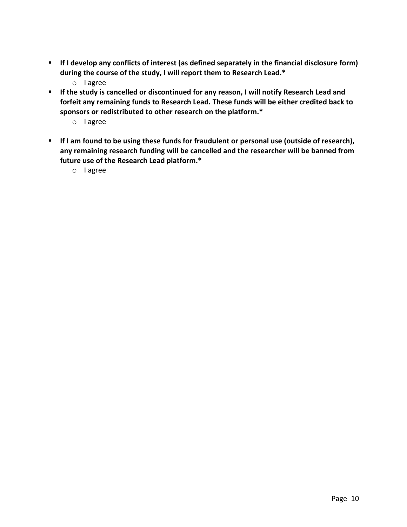- If I develop any conflicts of interest (as defined separately in the financial disclosure form) **during the course of the study, I will report them to Research Lead.\***
	- o I agree
- § **If the study is cancelled or discontinued for any reason, I will notify Research Lead and forfeit any remaining funds to Research Lead. These funds will be either credited back to sponsors or redistributed to other research on the platform.\***
	- o I agree
- **EXECT IF I am found to be using these funds for fraudulent or personal use (outside of research), any remaining research funding will be cancelled and the researcher will be banned from future use of the Research Lead platform.\***
	- o I agree